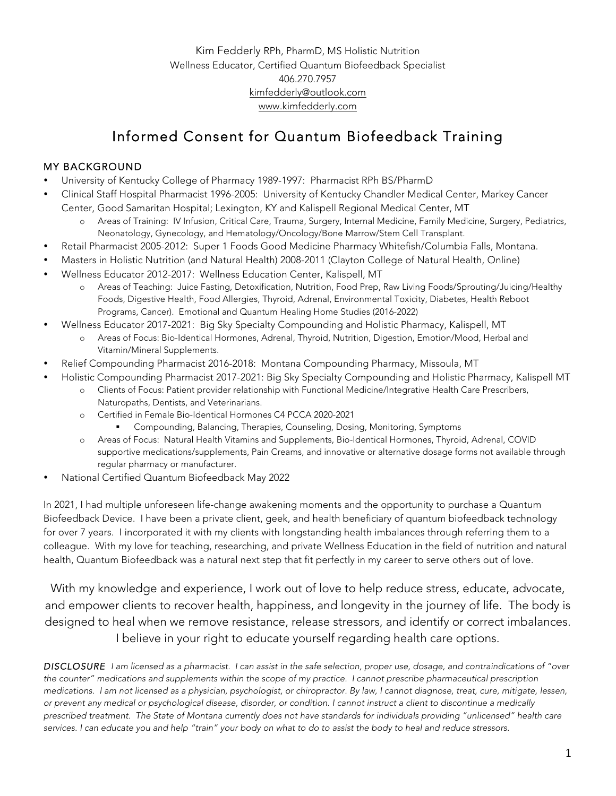Kim Fedderly RPh, PharmD, MS Holistic Nutrition Wellness Educator, Certified Quantum Biofeedback Specialist 406.270.7957 kimfedderly@outlook.com www.kimfedderly.com

# Informed Consent for Quantum Biofeedback Training

### MY BACKGROUND

- University of Kentucky College of Pharmacy 1989-1997: Pharmacist RPh BS/PharmD
- Clinical Staff Hospital Pharmacist 1996-2005: University of Kentucky Chandler Medical Center, Markey Cancer Center, Good Samaritan Hospital; Lexington, KY and Kalispell Regional Medical Center, MT
	- o Areas of Training: IV Infusion, Critical Care, Trauma, Surgery, Internal Medicine, Family Medicine, Surgery, Pediatrics, Neonatology, Gynecology, and Hematology/Oncology/Bone Marrow/Stem Cell Transplant.
- Retail Pharmacist 2005-2012: Super 1 Foods Good Medicine Pharmacy Whitefish/Columbia Falls, Montana.
- Masters in Holistic Nutrition (and Natural Health) 2008-2011 (Clayton College of Natural Health, Online)
- Wellness Educator 2012-2017: Wellness Education Center, Kalispell, MT
	- o Areas of Teaching: Juice Fasting, Detoxification, Nutrition, Food Prep, Raw Living Foods/Sprouting/Juicing/Healthy Foods, Digestive Health, Food Allergies, Thyroid, Adrenal, Environmental Toxicity, Diabetes, Health Reboot Programs, Cancer). Emotional and Quantum Healing Home Studies (2016-2022)
- Wellness Educator 2017-2021: Big Sky Specialty Compounding and Holistic Pharmacy, Kalispell, MT
	- o Areas of Focus: Bio-Identical Hormones, Adrenal, Thyroid, Nutrition, Digestion, Emotion/Mood, Herbal and Vitamin/Mineral Supplements.
- Relief Compounding Pharmacist 2016-2018: Montana Compounding Pharmacy, Missoula, MT
- Holistic Compounding Pharmacist 2017-2021: Big Sky Specialty Compounding and Holistic Pharmacy, Kalispell MT
	- o Clients of Focus: Patient provider relationship with Functional Medicine/Integrative Health Care Prescribers, Naturopaths, Dentists, and Veterinarians.
	- o Certified in Female Bio-Identical Hormones C4 PCCA 2020-2021
		- § Compounding, Balancing, Therapies, Counseling, Dosing, Monitoring, Symptoms
	- o Areas of Focus: Natural Health Vitamins and Supplements, Bio-Identical Hormones, Thyroid, Adrenal, COVID supportive medications/supplements, Pain Creams, and innovative or alternative dosage forms not available through regular pharmacy or manufacturer.
- National Certified Quantum Biofeedback May 2022

In 2021, I had multiple unforeseen life-change awakening moments and the opportunity to purchase a Quantum Biofeedback Device. I have been a private client, geek, and health beneficiary of quantum biofeedback technology for over 7 years. I incorporated it with my clients with longstanding health imbalances through referring them to a colleague. With my love for teaching, researching, and private Wellness Education in the field of nutrition and natural health, Quantum Biofeedback was a natural next step that fit perfectly in my career to serve others out of love.

With my knowledge and experience, I work out of love to help reduce stress, educate, advocate, and empower clients to recover health, happiness, and longevity in the journey of life. The body is designed to heal when we remove resistance, release stressors, and identify or correct imbalances. I believe in your right to educate yourself regarding health care options.

*DISCLOSURE I am licensed as a pharmacist. I can assist in the safe selection, proper use, dosage, and contraindications of "over the counter" medications and supplements within the scope of my practice. I cannot prescribe pharmaceutical prescription medications. I am not licensed as a physician, psychologist, or chiropractor. By law, I cannot diagnose, treat, cure, mitigate, lessen, or prevent any medical or psychological disease, disorder, or condition. I cannot instruct a client to discontinue a medically prescribed treatment. The State of Montana currently does not have standards for individuals providing "unlicensed" health care services. I can educate you and help "train" your body on what to do to assist the body to heal and reduce stressors.*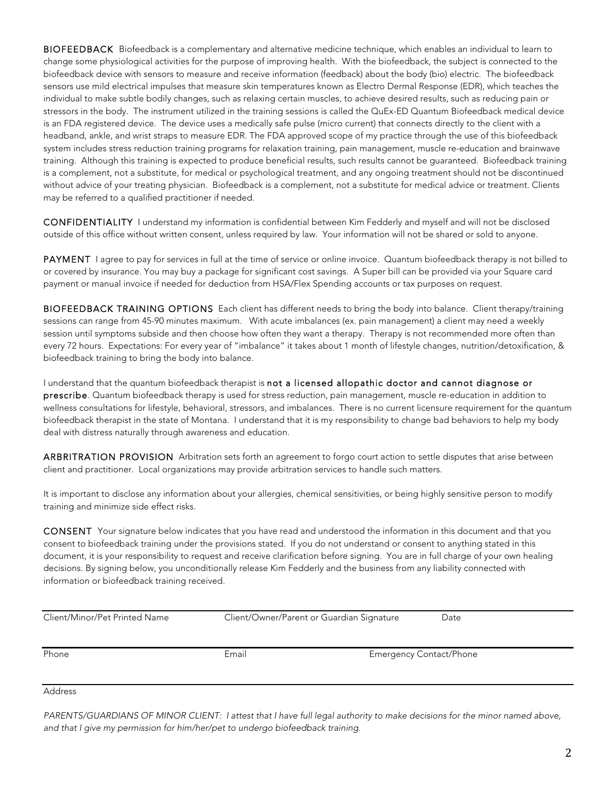BIOFEEDBACK Biofeedback is a complementary and alternative medicine technique, which enables an individual to learn to change some physiological activities for the purpose of improving health. With the biofeedback, the subject is connected to the biofeedback device with sensors to measure and receive information (feedback) about the body (bio) electric. The biofeedback sensors use mild electrical impulses that measure skin temperatures known as Electro Dermal Response (EDR), which teaches the individual to make subtle bodily changes, such as relaxing certain muscles, to achieve desired results, such as reducing pain or stressors in the body. The instrument utilized in the training sessions is called the QuEx-ED Quantum Biofeedback medical device is an FDA registered device. The device uses a medically safe pulse (micro current) that connects directly to the client with a headband, ankle, and wrist straps to measure EDR. The FDA approved scope of my practice through the use of this biofeedback system includes stress reduction training programs for relaxation training, pain management, muscle re-education and brainwave training. Although this training is expected to produce beneficial results, such results cannot be guaranteed. Biofeedback training is a complement, not a substitute, for medical or psychological treatment, and any ongoing treatment should not be discontinued without advice of your treating physician. Biofeedback is a complement, not a substitute for medical advice or treatment. Clients may be referred to a qualified practitioner if needed.

CONFIDENTIALITY I understand my information is confidential between Kim Fedderly and myself and will not be disclosed outside of this office without written consent, unless required by law. Your information will not be shared or sold to anyone.

PAYMENT I agree to pay for services in full at the time of service or online invoice. Quantum biofeedback therapy is not billed to or covered by insurance. You may buy a package for significant cost savings. A Super bill can be provided via your Square card payment or manual invoice if needed for deduction from HSA/Flex Spending accounts or tax purposes on request.

BIOFEEDBACK TRAINING OPTIONS Each client has different needs to bring the body into balance. Client therapy/training sessions can range from 45-90 minutes maximum. With acute imbalances (ex. pain management) a client may need a weekly session until symptoms subside and then choose how often they want a therapy. Therapy is not recommended more often than every 72 hours. Expectations: For every year of "imbalance" it takes about 1 month of lifestyle changes, nutrition/detoxification, & biofeedback training to bring the body into balance.

I understand that the quantum biofeedback therapist is not a licensed allopathic doctor and cannot diagnose or prescribe. Quantum biofeedback therapy is used for stress reduction, pain management, muscle re-education in addition to wellness consultations for lifestyle, behavioral, stressors, and imbalances. There is no current licensure requirement for the quantum biofeedback therapist in the state of Montana. I understand that it is my responsibility to change bad behaviors to help my body deal with distress naturally through awareness and education.

ARBRITRATION PROVISION Arbitration sets forth an agreement to forgo court action to settle disputes that arise between client and practitioner. Local organizations may provide arbitration services to handle such matters.

It is important to disclose any information about your allergies, chemical sensitivities, or being highly sensitive person to modify training and minimize side effect risks.

CONSENT Your signature below indicates that you have read and understood the information in this document and that you consent to biofeedback training under the provisions stated. If you do not understand or consent to anything stated in this document, it is your responsibility to request and receive clarification before signing. You are in full charge of your own healing decisions. By signing below, you unconditionally release Kim Fedderly and the business from any liability connected with information or biofeedback training received.

| Client/Minor/Pet Printed Name | Client/Owner/Parent or Guardian Signature | Date                           |
|-------------------------------|-------------------------------------------|--------------------------------|
|                               |                                           |                                |
| Phone                         | Email                                     | <b>Emergency Contact/Phone</b> |

Address

*PARENTS/GUARDIANS OF MINOR CLIENT: I attest that I have full legal authority to make decisions for the minor named above, and that I give my permission for him/her/pet to undergo biofeedback training.*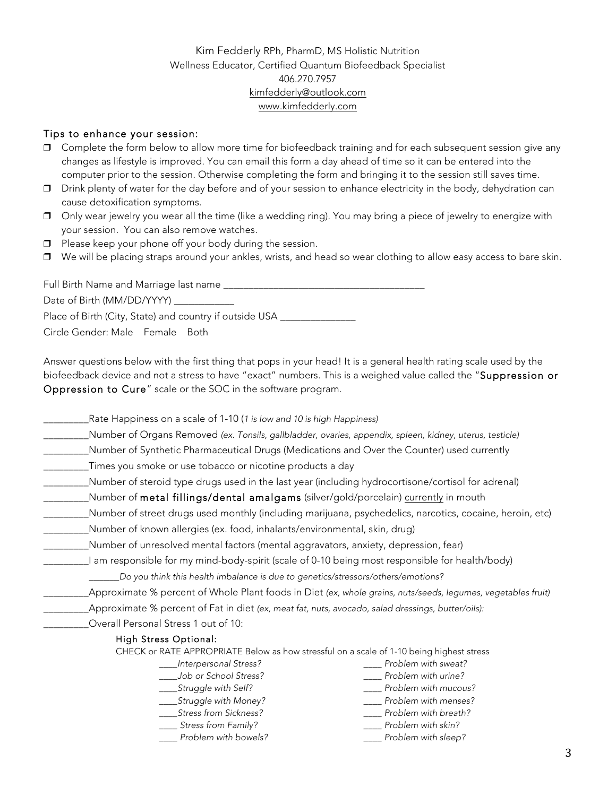### Kim Fedderly RPh, PharmD, MS Holistic Nutrition Wellness Educator, Certified Quantum Biofeedback Specialist 406.270.7957 kimfedderly@outlook.com www.kimfedderly.com

#### Tips to enhance your session:

- ❒ Complete the form below to allow more time for biofeedback training and for each subsequent session give any changes as lifestyle is improved. You can email this form a day ahead of time so it can be entered into the computer prior to the session. Otherwise completing the form and bringing it to the session still saves time.
- ❒ Drink plenty of water for the day before and of your session to enhance electricity in the body, dehydration can cause detoxification symptoms.
- ❒ Only wear jewelry you wear all the time (like a wedding ring). You may bring a piece of jewelry to energize with your session. You can also remove watches.
- ❒ Please keep your phone off your body during the session.
- ❒ We will be placing straps around your ankles, wrists, and head so wear clothing to allow easy access to bare skin.

Full Birth Name and Marriage last name \_\_\_\_\_\_\_\_\_\_\_\_\_\_\_\_\_\_\_\_\_\_\_\_\_\_\_\_\_\_\_\_\_\_\_\_\_\_\_\_ Date of Birth (MM/DD/YYYY) Place of Birth (City, State) and country if outside USA Circle Gender: Male Female Both

Answer questions below with the first thing that pops in your head! It is a general health rating scale used by the biofeedback device and not a stress to have "exact" numbers. This is a weighed value called the "Suppression or Oppression to Cure" scale or the SOC in the software program.

\_\_\_\_\_\_\_\_\_Rate Happiness on a scale of 1-10 (*1 is low and 10 is high Happiness)*

- \_\_\_\_\_\_\_\_\_Number of Organs Removed *(ex. Tonsils, gallbladder, ovaries, appendix, spleen, kidney, uterus, testicle)*
- \_\_\_\_\_\_\_\_\_Number of Synthetic Pharmaceutical Drugs (Medications and Over the Counter) used currently
- \_\_\_\_\_\_\_\_\_Times you smoke or use tobacco or nicotine products a day
- \_\_\_\_\_\_\_\_\_Number of steroid type drugs used in the last year (including hydrocortisone/cortisol for adrenal)
- \_\_\_\_\_Number of metal fillings/dental amalgams (silver/gold/porcelain) currently in mouth
- \_\_\_\_\_\_\_\_\_Number of street drugs used monthly (including marijuana, psychedelics, narcotics, cocaine, heroin, etc)
- \_\_\_\_\_\_\_\_\_Number of known allergies (ex. food, inhalants/environmental, skin, drug)
- \_\_\_\_\_\_\_\_\_Number of unresolved mental factors (mental aggravators, anxiety, depression, fear)
	- \_\_\_\_\_\_\_\_\_I am responsible for my mind-body-spirit (scale of 0-10 being most responsible for health/body)

\_\_\_\_\_\_*Do you think this health imbalance is due to genetics/stressors/others/emotions?*

- \_\_\_\_\_\_\_\_\_Approximate % percent of Whole Plant foods in Diet *(ex, whole grains, nuts/seeds, legumes, vegetables fruit)*
- \_\_\_\_\_\_\_\_\_Approximate % percent of Fat in diet *(ex, meat fat, nuts, avocado, salad dressings, butter/oils):*
- \_\_\_\_\_\_\_\_\_Overall Personal Stress 1 out of 10:

#### High Stress Optional:

CHECK or RATE APPROPRIATE Below as how stressful on a scale of 1-10 being highest stress

- *\_\_\_\_Interpersonal Stress?*
- *\_\_\_\_Job or School Stress?*
- *\_\_\_\_Struggle with Self?*
- *\_\_\_\_Struggle with Money? \_\_\_\_Stress from Sickness?*
- *\_\_\_\_ Stress from Family?*
- *\_\_\_\_ Problem with bowels?*
- *\_\_\_\_ Problem with mucous? \_\_\_\_ Problem with menses?*
- *\_\_\_\_ Problem with breath?*

*\_\_\_\_ Problem with sweat? \_\_\_\_ Problem with urine?*

- *\_\_\_\_ Problem with skin?*
- *\_\_\_\_ Problem with sleep?*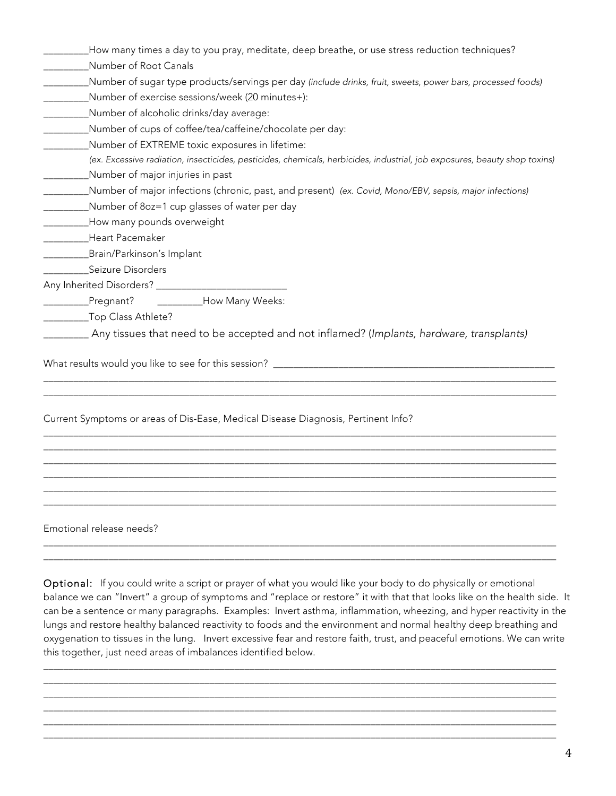| How many times a day to you pray, meditate, deep breathe, or use stress reduction techniques?                             |
|---------------------------------------------------------------------------------------------------------------------------|
| Number of Root Canals                                                                                                     |
| Number of sugar type products/servings per day (include drinks, fruit, sweets, power bars, processed foods)               |
| Number of exercise sessions/week (20 minutes+):                                                                           |
| Number of alcoholic drinks/day average:                                                                                   |
| Number of cups of coffee/tea/caffeine/chocolate per day:                                                                  |
| Number of EXTREME toxic exposures in lifetime:                                                                            |
| (ex. Excessive radiation, insecticides, pesticides, chemicals, herbicides, industrial, job exposures, beauty shop toxins) |
| Number of major injuries in past                                                                                          |
| Number of major infections (chronic, past, and present) (ex. Covid, Mono/EBV, sepsis, major infections)                   |
| Number of 80z=1 cup glasses of water per day                                                                              |
| How many pounds overweight                                                                                                |
| Heart Pacemaker                                                                                                           |
| Brain/Parkinson's Implant                                                                                                 |
| Seizure Disorders                                                                                                         |
|                                                                                                                           |
| ___________How Many Weeks:<br>Pregnant?                                                                                   |
| _______Top Class Athlete?                                                                                                 |
| ______ Any tissues that need to be accepted and not inflamed? (Implants, hardware, transplants)                           |
|                                                                                                                           |
|                                                                                                                           |
|                                                                                                                           |
| Current Symptoms or areas of Dis-Ease, Medical Disease Diagnosis, Pertinent Info?                                         |
|                                                                                                                           |
|                                                                                                                           |
|                                                                                                                           |
|                                                                                                                           |
|                                                                                                                           |
|                                                                                                                           |

Emotional release needs?

Optional: If you could write a script or prayer of what you would like your body to do physically or emotional balance we can "Invert" a group of symptoms and "replace or restore" it with that that looks like on the health side. It can be a sentence or many paragraphs. Examples: Invert asthma, inflammation, wheezing, and hyper reactivity in the lungs and restore healthy balanced reactivity to foods and the environment and normal healthy deep breathing and oxygenation to tissues in the lung. Invert excessive fear and restore faith, trust, and peaceful emotions. We can write this together, just need areas of imbalances identified below.

\_\_\_\_\_\_\_\_\_\_\_\_\_\_\_\_\_\_\_\_\_\_\_\_\_\_\_\_\_\_\_\_\_\_\_\_\_\_\_\_\_\_\_\_\_\_\_\_\_\_\_\_\_\_\_\_\_\_\_\_\_\_\_\_\_\_\_\_\_\_\_\_\_\_\_\_\_\_\_\_\_\_\_\_\_\_\_\_\_\_\_\_\_\_\_\_\_\_\_\_\_\_ \_\_\_\_\_\_\_\_\_\_\_\_\_\_\_\_\_\_\_\_\_\_\_\_\_\_\_\_\_\_\_\_\_\_\_\_\_\_\_\_\_\_\_\_\_\_\_\_\_\_\_\_\_\_\_\_\_\_\_\_\_\_\_\_\_\_\_\_\_\_\_\_\_\_\_\_\_\_\_\_\_\_\_\_\_\_\_\_\_\_\_\_\_\_\_\_\_\_\_\_\_\_ \_\_\_\_\_\_\_\_\_\_\_\_\_\_\_\_\_\_\_\_\_\_\_\_\_\_\_\_\_\_\_\_\_\_\_\_\_\_\_\_\_\_\_\_\_\_\_\_\_\_\_\_\_\_\_\_\_\_\_\_\_\_\_\_\_\_\_\_\_\_\_\_\_\_\_\_\_\_\_\_\_\_\_\_\_\_\_\_\_\_\_\_\_\_\_\_\_\_\_\_\_\_ \_\_\_\_\_\_\_\_\_\_\_\_\_\_\_\_\_\_\_\_\_\_\_\_\_\_\_\_\_\_\_\_\_\_\_\_\_\_\_\_\_\_\_\_\_\_\_\_\_\_\_\_\_\_\_\_\_\_\_\_\_\_\_\_\_\_\_\_\_\_\_\_\_\_\_\_\_\_\_\_\_\_\_\_\_\_\_\_\_\_\_\_\_\_\_\_\_\_\_\_\_\_ \_\_\_\_\_\_\_\_\_\_\_\_\_\_\_\_\_\_\_\_\_\_\_\_\_\_\_\_\_\_\_\_\_\_\_\_\_\_\_\_\_\_\_\_\_\_\_\_\_\_\_\_\_\_\_\_\_\_\_\_\_\_\_\_\_\_\_\_\_\_\_\_\_\_\_\_\_\_\_\_\_\_\_\_\_\_\_\_\_\_\_\_\_\_\_\_\_\_\_\_\_\_ \_\_\_\_\_\_\_\_\_\_\_\_\_\_\_\_\_\_\_\_\_\_\_\_\_\_\_\_\_\_\_\_\_\_\_\_\_\_\_\_\_\_\_\_\_\_\_\_\_\_\_\_\_\_\_\_\_\_\_\_\_\_\_\_\_\_\_\_\_\_\_\_\_\_\_\_\_\_\_\_\_\_\_\_\_\_\_\_\_\_\_\_\_\_\_\_\_\_\_\_\_\_

\_\_\_\_\_\_\_\_\_\_\_\_\_\_\_\_\_\_\_\_\_\_\_\_\_\_\_\_\_\_\_\_\_\_\_\_\_\_\_\_\_\_\_\_\_\_\_\_\_\_\_\_\_\_\_\_\_\_\_\_\_\_\_\_\_\_\_\_\_\_\_\_\_\_\_\_\_\_\_\_\_\_\_\_\_\_\_\_\_\_\_\_\_\_\_\_\_\_\_\_\_\_ \_\_\_\_\_\_\_\_\_\_\_\_\_\_\_\_\_\_\_\_\_\_\_\_\_\_\_\_\_\_\_\_\_\_\_\_\_\_\_\_\_\_\_\_\_\_\_\_\_\_\_\_\_\_\_\_\_\_\_\_\_\_\_\_\_\_\_\_\_\_\_\_\_\_\_\_\_\_\_\_\_\_\_\_\_\_\_\_\_\_\_\_\_\_\_\_\_\_\_\_\_\_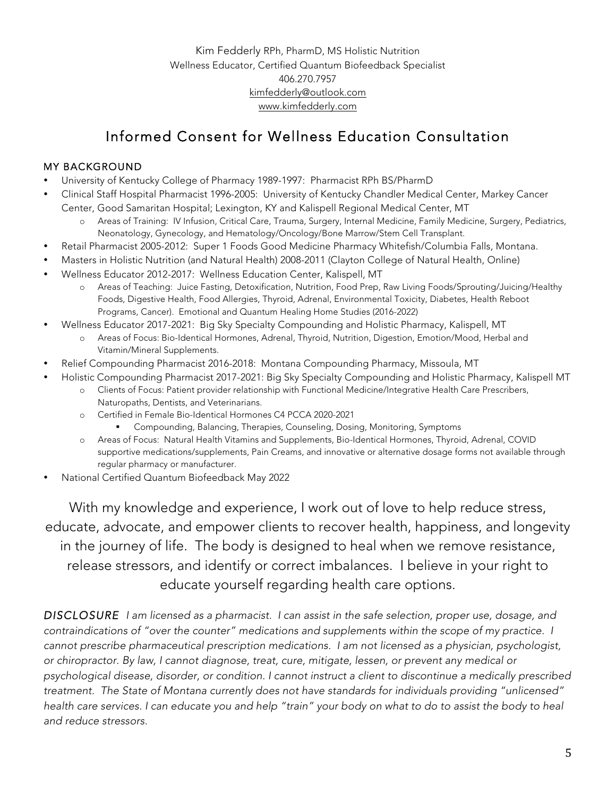Kim Fedderly RPh, PharmD, MS Holistic Nutrition Wellness Educator, Certified Quantum Biofeedback Specialist 406.270.7957 kimfedderly@outlook.com www.kimfedderly.com

# Informed Consent for Wellness Education Consultation

## MY BACKGROUND

- University of Kentucky College of Pharmacy 1989-1997: Pharmacist RPh BS/PharmD
- Clinical Staff Hospital Pharmacist 1996-2005: University of Kentucky Chandler Medical Center, Markey Cancer Center, Good Samaritan Hospital; Lexington, KY and Kalispell Regional Medical Center, MT
	- o Areas of Training: IV Infusion, Critical Care, Trauma, Surgery, Internal Medicine, Family Medicine, Surgery, Pediatrics, Neonatology, Gynecology, and Hematology/Oncology/Bone Marrow/Stem Cell Transplant.
- Retail Pharmacist 2005-2012: Super 1 Foods Good Medicine Pharmacy Whitefish/Columbia Falls, Montana.
- Masters in Holistic Nutrition (and Natural Health) 2008-2011 (Clayton College of Natural Health, Online)
- Wellness Educator 2012-2017: Wellness Education Center, Kalispell, MT
	- o Areas of Teaching: Juice Fasting, Detoxification, Nutrition, Food Prep, Raw Living Foods/Sprouting/Juicing/Healthy Foods, Digestive Health, Food Allergies, Thyroid, Adrenal, Environmental Toxicity, Diabetes, Health Reboot Programs, Cancer). Emotional and Quantum Healing Home Studies (2016-2022)
- Wellness Educator 2017-2021: Big Sky Specialty Compounding and Holistic Pharmacy, Kalispell, MT
	- o Areas of Focus: Bio-Identical Hormones, Adrenal, Thyroid, Nutrition, Digestion, Emotion/Mood, Herbal and Vitamin/Mineral Supplements.
- Relief Compounding Pharmacist 2016-2018: Montana Compounding Pharmacy, Missoula, MT
- Holistic Compounding Pharmacist 2017-2021: Big Sky Specialty Compounding and Holistic Pharmacy, Kalispell MT
	- o Clients of Focus: Patient provider relationship with Functional Medicine/Integrative Health Care Prescribers, Naturopaths, Dentists, and Veterinarians.
	- o Certified in Female Bio-Identical Hormones C4 PCCA 2020-2021
		- § Compounding, Balancing, Therapies, Counseling, Dosing, Monitoring, Symptoms
	- o Areas of Focus: Natural Health Vitamins and Supplements, Bio-Identical Hormones, Thyroid, Adrenal, COVID supportive medications/supplements, Pain Creams, and innovative or alternative dosage forms not available through regular pharmacy or manufacturer.
- National Certified Quantum Biofeedback May 2022

With my knowledge and experience, I work out of love to help reduce stress, educate, advocate, and empower clients to recover health, happiness, and longevity in the journey of life. The body is designed to heal when we remove resistance, release stressors, and identify or correct imbalances. I believe in your right to educate yourself regarding health care options.

*DISCLOSURE I am licensed as a pharmacist. I can assist in the safe selection, proper use, dosage, and contraindications of "over the counter" medications and supplements within the scope of my practice. I cannot prescribe pharmaceutical prescription medications. I am not licensed as a physician, psychologist, or chiropractor. By law, I cannot diagnose, treat, cure, mitigate, lessen, or prevent any medical or psychological disease, disorder, or condition. I cannot instruct a client to discontinue a medically prescribed treatment. The State of Montana currently does not have standards for individuals providing "unlicensed" health care services. I can educate you and help "train" your body on what to do to assist the body to heal and reduce stressors.*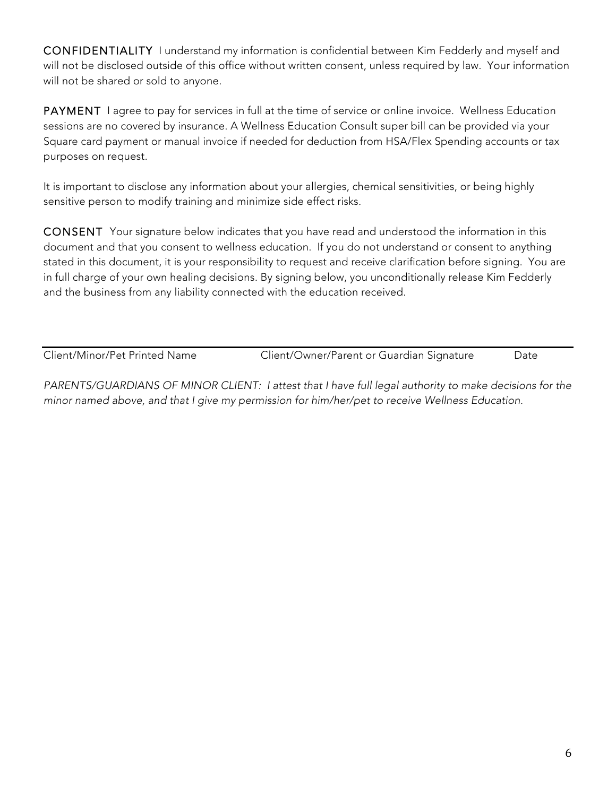CONFIDENTIALITY I understand my information is confidential between Kim Fedderly and myself and will not be disclosed outside of this office without written consent, unless required by law. Your information will not be shared or sold to anyone.

PAYMENT I agree to pay for services in full at the time of service or online invoice. Wellness Education sessions are no covered by insurance. A Wellness Education Consult super bill can be provided via your Square card payment or manual invoice if needed for deduction from HSA/Flex Spending accounts or tax purposes on request.

It is important to disclose any information about your allergies, chemical sensitivities, or being highly sensitive person to modify training and minimize side effect risks.

CONSENT Your signature below indicates that you have read and understood the information in this document and that you consent to wellness education. If you do not understand or consent to anything stated in this document, it is your responsibility to request and receive clarification before signing. You are in full charge of your own healing decisions. By signing below, you unconditionally release Kim Fedderly and the business from any liability connected with the education received.

Client/Minor/Pet Printed Name Client/Owner/Parent or Guardian Signature Date

*PARENTS/GUARDIANS OF MINOR CLIENT: I attest that I have full legal authority to make decisions for the minor named above, and that I give my permission for him/her/pet to receive Wellness Education.*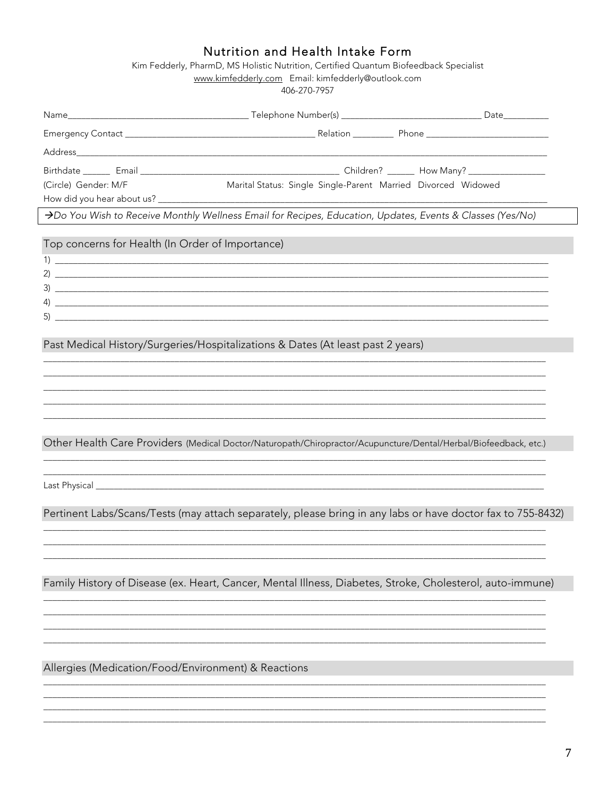# Nutrition and Health Intake Form

Kim Fedderly, PharmD, MS Holistic Nutrition, Certified Quantum Biofeedback Specialist www.kimfedderly.com Email: kimfedderly@outlook.com

–<br>406-270-7957

| (Circle) Gender: M/F                                | Marital Status: Single Single-Parent Married Divorced Widowed                                                    |  |
|-----------------------------------------------------|------------------------------------------------------------------------------------------------------------------|--|
|                                                     |                                                                                                                  |  |
|                                                     | >Do You Wish to Receive Monthly Wellness Email for Recipes, Education, Updates, Events & Classes (Yes/No)        |  |
| Top concerns for Health (In Order of Importance)    |                                                                                                                  |  |
|                                                     |                                                                                                                  |  |
|                                                     | 2) $\overline{\phantom{a}}$                                                                                      |  |
|                                                     |                                                                                                                  |  |
|                                                     |                                                                                                                  |  |
|                                                     |                                                                                                                  |  |
|                                                     |                                                                                                                  |  |
|                                                     | Past Medical History/Surgeries/Hospitalizations & Dates (At least past 2 years)                                  |  |
|                                                     |                                                                                                                  |  |
|                                                     |                                                                                                                  |  |
|                                                     |                                                                                                                  |  |
|                                                     | ,我们也不会有什么。""我们的人,我们也不会有什么?""我们的人,我们也不会有什么?""我们的人,我们也不会有什么?""我们的人,我们也不会有什么?""我们的人                                 |  |
|                                                     | Other Health Care Providers (Medical Doctor/Naturopath/Chiropractor/Acupuncture/Dental/Herbal/Biofeedback, etc.) |  |
|                                                     |                                                                                                                  |  |
|                                                     |                                                                                                                  |  |
|                                                     |                                                                                                                  |  |
|                                                     |                                                                                                                  |  |
|                                                     | Pertinent Labs/Scans/Tests (may attach separately, please bring in any labs or have doctor fax to 755-8432)      |  |
|                                                     |                                                                                                                  |  |
|                                                     |                                                                                                                  |  |
|                                                     |                                                                                                                  |  |
|                                                     | Family History of Disease (ex. Heart, Cancer, Mental Illness, Diabetes, Stroke, Cholesterol, auto-immune)        |  |
|                                                     |                                                                                                                  |  |
|                                                     |                                                                                                                  |  |
|                                                     |                                                                                                                  |  |
|                                                     |                                                                                                                  |  |
| Allergies (Medication/Food/Environment) & Reactions |                                                                                                                  |  |
|                                                     |                                                                                                                  |  |
|                                                     |                                                                                                                  |  |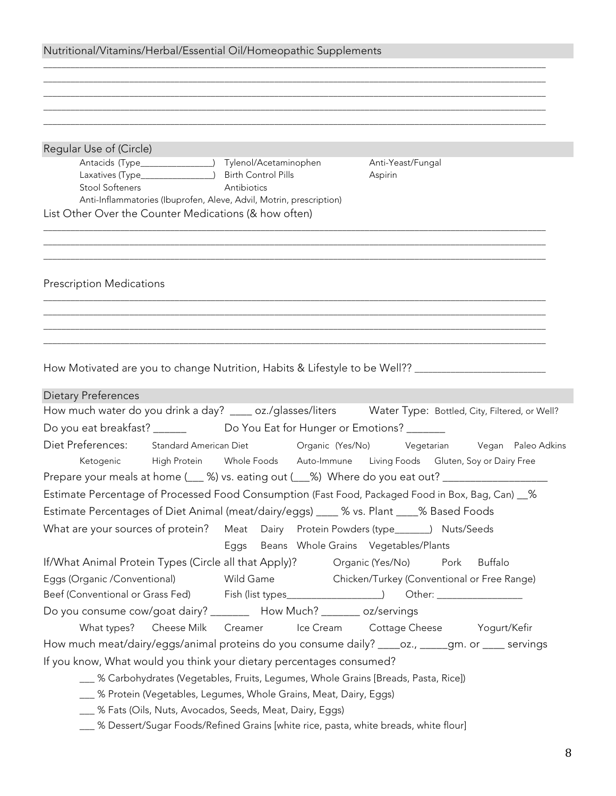| Nutritional/Vitamins/Herbal/Essential Oil/Homeopathic Supplements                                               |                                                       |
|-----------------------------------------------------------------------------------------------------------------|-------------------------------------------------------|
|                                                                                                                 |                                                       |
|                                                                                                                 |                                                       |
|                                                                                                                 |                                                       |
|                                                                                                                 |                                                       |
| Regular Use of (Circle)                                                                                         |                                                       |
| Antacids (Type_________________) Tylenol/Acetaminophen<br>Laxatives (Type_________________) Birth Control Pills | Anti-Yeast/Fungal<br>Aspirin                          |
| Stool Softeners <b>Stool</b> Stool Softeners<br>Antibiotics                                                     |                                                       |
| Anti-Inflammatories (Ibuprofen, Aleve, Advil, Motrin, prescription)                                             |                                                       |
| List Other Over the Counter Medications (& how often)                                                           |                                                       |
|                                                                                                                 |                                                       |
| <b>Prescription Medications</b>                                                                                 |                                                       |
|                                                                                                                 |                                                       |
|                                                                                                                 |                                                       |
|                                                                                                                 |                                                       |
|                                                                                                                 |                                                       |
| How Motivated are you to change Nutrition, Habits & Lifestyle to be Well?? ________________________             |                                                       |
|                                                                                                                 |                                                       |
| <b>Dietary Preferences</b>                                                                                      |                                                       |
| How much water do you drink a day? ____ oz./glasses/liters Water Type: Bottled, City, Filtered, or Well?        |                                                       |
|                                                                                                                 |                                                       |
| Diet Preferences: Standard American Diet Crganic (Yes/No) Vegetarian Vegan Paleo Adkins                         |                                                       |
| Ketogenic High Protein Whole Foods Auto-Immune Living Foods Gluten, Soy or Dairy Free                           |                                                       |
| Prepare your meals at home (___ %) vs. eating out (___%) Where do you eat out? ____________________             |                                                       |
| Estimate Percentage of Processed Food Consumption (Fast Food, Packaged Food in Box, Bag, Can) __%               |                                                       |
| Estimate Percentages of Diet Animal (meat/dairy/eggs) ____ % vs. Plant ____% Based Foods                        |                                                       |
| What are your sources of protein? Meat Dairy Protein Powders (type______) Nuts/Seeds                            |                                                       |
|                                                                                                                 | Eggs Beans Whole Grains Vegetables/Plants             |
| If/What Animal Protein Types (Circle all that Apply)? Organic (Yes/No)                                          | Pork<br><b>Buffalo</b>                                |
| Eggs (Organic /Conventional)                                                                                    | Wild Game Chicken/Turkey (Conventional or Free Range) |
| Beef (Conventional or Grass Fed) Fish (list types__________________) Other: _______________________             |                                                       |
| Do you consume cow/goat dairy? ________ How Much? _______ oz/servings                                           |                                                       |
| What types? Cheese Milk Creamer Ice Cream Cottage Cheese Yogurt/Kefir                                           |                                                       |
| How much meat/dairy/eggs/animal proteins do you consume daily? ____oz., ____gm. or ____ servings                |                                                       |
| If you know, What would you think your dietary percentages consumed?                                            |                                                       |
| [Breads, Pasta, Rice]] % Carbohydrates (Vegetables, Fruits, Legumes, Whole Grains [Breads, Pasta, Rice])        |                                                       |
| __ % Protein (Vegetables, Legumes, Whole Grains, Meat, Dairy, Eggs)                                             |                                                       |
| __ % Fats (Oils, Nuts, Avocados, Seeds, Meat, Dairy, Eggs)                                                      |                                                       |
| ___ % Dessert/Sugar Foods/Refined Grains [white rice, pasta, white breads, white flour]                         |                                                       |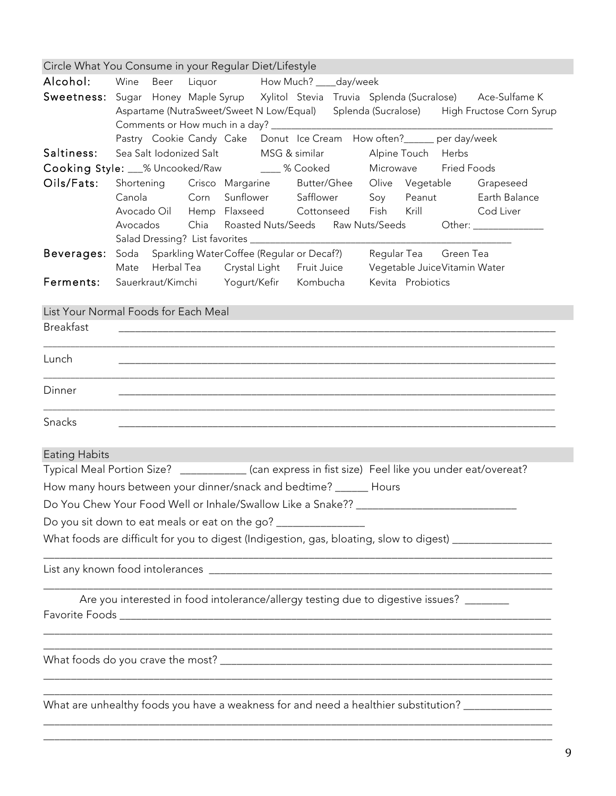|                      | Circle What You Consume in your Regular Diet/Lifestyle                                                                                                                                          |
|----------------------|-------------------------------------------------------------------------------------------------------------------------------------------------------------------------------------------------|
| Alcohol:             | Wine Beer Liquor How Much? ____ day/week                                                                                                                                                        |
|                      | Sweetness: Sugar Honey Maple Syrup Xylitol Stevia Truvia Splenda (Sucralose) Ace-Sulfame K<br>Aspartame (NutraSweet/Sweet N Low/Equal) Splenda (Sucralose) High Fructose Corn Syrup             |
| Saltiness:           | Pastry Cookie Candy Cake Donut Ice Cream How often?_____ per day/week<br>Sea Salt Iodonized Salt MSG & similar Alpine Touch Herbs                                                               |
|                      | Cooking Style: 3% Uncooked/Raw 1989 9% Cooked<br>Microwave<br><b>Fried Foods</b>                                                                                                                |
| Oils/Fats:           | Shortening Crisco Margarine Butter/Ghee Olive Vegetable Grapeseed                                                                                                                               |
|                      | Corn Sunflower Safflower<br>Canola<br>Soy Peanut Earth Balance<br>Avocado Oil Hemp Flaxseed Cottonseed Fish Krill Cod Liver<br>Avocados Chia Roasted Nuts/Seeds Raw Nuts/Seeds Other: 1988 1998 |
|                      | Beverages: Soda Sparkling WaterCoffee (Regular or Decaf?) Regular Tea Green Tea                                                                                                                 |
|                      | Mate Herbal Tea Crystal Light Fruit Juice Vegetable JuiceVitamin Water                                                                                                                          |
| Ferments:            | Sauerkraut/Kimchi Yogurt/Kefir Kombucha<br>Kevita Probiotics                                                                                                                                    |
|                      | List Your Normal Foods for Each Meal                                                                                                                                                            |
| <b>Breakfast</b>     | <u> 1990 - Johann Barn, mars ann an t-Amhainn an t-Amhainn an t-Amhainn an t-Amhainn an t-Amhainn an t-Amhainn an </u>                                                                          |
|                      |                                                                                                                                                                                                 |
| Lunch                |                                                                                                                                                                                                 |
| Dinner               |                                                                                                                                                                                                 |
| Snacks               |                                                                                                                                                                                                 |
| <b>Eating Habits</b> |                                                                                                                                                                                                 |
|                      | Typical Meal Portion Size? ____________ (can express in fist size) Feel like you under eat/overeat?                                                                                             |
|                      | How many hours between your dinner/snack and bedtime? ______ Hours                                                                                                                              |
|                      |                                                                                                                                                                                                 |
|                      | Do you sit down to eat meals or eat on the go? _______________                                                                                                                                  |
|                      | What foods are difficult for you to digest (Indigestion, gas, bloating, slow to digest) _________________                                                                                       |
|                      |                                                                                                                                                                                                 |
|                      | Are you interested in food intolerance/allergy testing due to digestive issues? _______                                                                                                         |
|                      |                                                                                                                                                                                                 |
|                      | What are unhealthy foods you have a weakness for and need a healthier substitution? _______________                                                                                             |
|                      |                                                                                                                                                                                                 |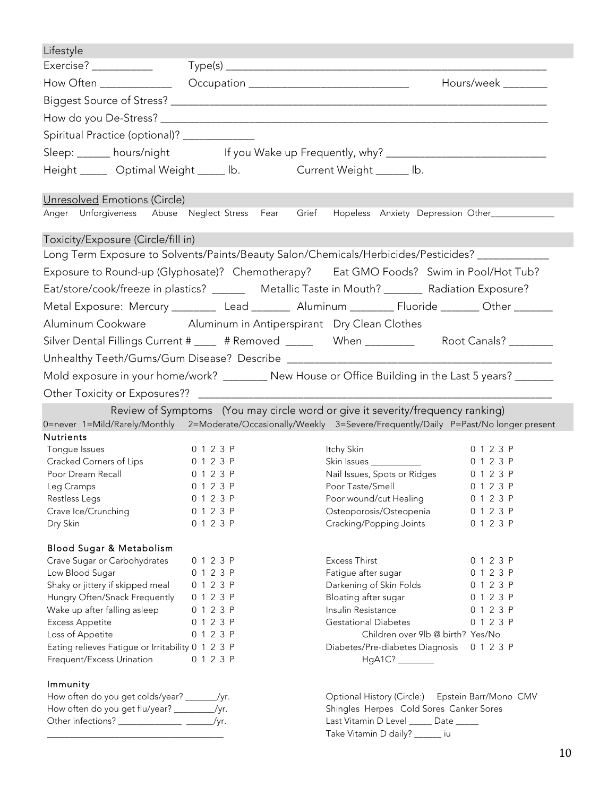| Lifestyle                                                                                                       |                        |                                                                                |                     |
|-----------------------------------------------------------------------------------------------------------------|------------------------|--------------------------------------------------------------------------------|---------------------|
| Exercise?                                                                                                       |                        |                                                                                |                     |
|                                                                                                                 |                        |                                                                                | Hours/week ________ |
|                                                                                                                 |                        |                                                                                |                     |
|                                                                                                                 |                        |                                                                                |                     |
|                                                                                                                 |                        |                                                                                |                     |
| Spiritual Practice (optional)? _____________                                                                    |                        |                                                                                |                     |
| Sleep: hours/night lf you Wake up Frequently, why? _____________________________                                |                        |                                                                                |                     |
| Height _____ Optimal Weight _____ lb. Current Weight ______ lb.                                                 |                        |                                                                                |                     |
| Unresolved Emotions (Circle)                                                                                    |                        |                                                                                |                     |
| Anger Unforgiveness Abuse Neglect-Stress Fear Grief Hopeless Anxiety Depression-Other______________             |                        |                                                                                |                     |
|                                                                                                                 |                        |                                                                                |                     |
| Toxicity/Exposure (Circle/fill in)                                                                              |                        |                                                                                |                     |
| Long Term Exposure to Solvents/Paints/Beauty Salon/Chemicals/Herbicides/Pesticides? _____________               |                        |                                                                                |                     |
| Exposure to Round-up (Glyphosate)? Chemotherapy? Eat GMO Foods? Swim in Pool/Hot Tub?                           |                        |                                                                                |                     |
| Eat/store/cook/freeze in plastics? ________ Metallic Taste in Mouth? ________ Radiation Exposure?               |                        |                                                                                |                     |
| Metal Exposure: Mercury _________ Lead _______ Aluminum ________ Fluoride _______ Other _______                 |                        |                                                                                |                     |
| Aluminum Cookware Aluminum in Antiperspirant Dry Clean Clothes                                                  |                        |                                                                                |                     |
| Silver Dental Fillings Current # 1997 # Removed 2008 Moor Canals Prophet Root Canals? 2008 Moore                |                        |                                                                                |                     |
|                                                                                                                 |                        |                                                                                |                     |
|                                                                                                                 |                        |                                                                                |                     |
| Mold exposure in your home/work? ________ New House or Office Building in the Last 5 years? ______              |                        |                                                                                |                     |
| Other Toxicity or Exposures?? _________                                                                         |                        |                                                                                |                     |
|                                                                                                                 |                        | Review of Symptoms (You may circle word or give it severity/frequency ranking) |                     |
| 0=never 1=Mild/Rarely/Monthly 2=Moderate/Occasionally/Weekly 3=Severe/Frequently/Daily P=Past/No longer present |                        |                                                                                |                     |
| <b>Nutrients</b>                                                                                                |                        |                                                                                | 0 1 2 3 P           |
| Tongue Issues<br>Cracked Corners of Lips                                                                        | 0 1 2 3 P<br>0 1 2 3 P | Itchy Skin<br>Skin Issues ____________                                         | 0 1 2 3 P           |
| Poor Dream Recall                                                                                               | 0 1 2 3 P              | Nail Issues, Spots or Ridges                                                   | 0 1 2 3 P           |
| Leg Cramps                                                                                                      | 0 1 2 3 P              |                                                                                | 0 1 2 3 P           |
| Restless Legs                                                                                                   | 0 1 2 3 P              | Poor Taste/Smell<br>Poor wound/cut Healing                                     | 0 1 2 3 P           |
| Crave Ice/Crunching                                                                                             | 0 1 2 3 P              | Osteoporosis/Osteopenia                                                        | 0 1 2 3 P           |
| Dry Skin                                                                                                        | 0 1 2 3 P              | Cracking/Popping Joints                                                        | 0 1 2 3 P           |
|                                                                                                                 |                        |                                                                                |                     |
| <b>Blood Sugar &amp; Metabolism</b>                                                                             |                        |                                                                                |                     |
| Crave Sugar or Carbohydrates                                                                                    | 0 1 2 3 P              | <b>Excess Thirst</b>                                                           | 0 1 2 3 P           |
| Low Blood Sugar                                                                                                 | 0 1 2 3 P              | Fatigue after sugar                                                            | 0 1 2 3 P           |
| Shaky or jittery if skipped meal                                                                                | 0 1 2 3 P              | Darkening of Skin Folds                                                        | 0 1 2 3 P           |
| Hungry Often/Snack Frequently                                                                                   | 0 1 2 3 P              | Bloating after sugar                                                           | 0 1 2 3 P           |
| Wake up after falling asleep                                                                                    | 0 1 2 3 P              | Insulin Resistance                                                             | 0 1 2 3 P           |
| <b>Excess Appetite</b>                                                                                          | 0 1 2 3 P              | <b>Gestational Diabetes</b>                                                    | 0 1 2 3 P           |
| Loss of Appetite                                                                                                | 0 1 2 3 P              | Children over 9lb @ birth? Yes/No                                              |                     |
| Eating relieves Fatigue or Irritability 0 1 2 3 P<br>Frequent/Excess Urination                                  | 0 1 2 3 P              | Diabetes/Pre-diabetes Diagnosis<br>HgA1C? ________                             | 0 1 2 3 P           |
| Immunity                                                                                                        |                        |                                                                                |                     |
| How often do you get colds/year? _______/yr.                                                                    |                        | Optional History (Circle:) Epstein Barr/Mono CMV                               |                     |
| How often do you get flu/year? _________/yr.                                                                    |                        | Shingles Herpes Cold Sores Canker Sores                                        |                     |

Other infections? \_\_\_\_\_\_\_\_\_\_\_\_\_\_ \_\_\_\_\_\_/yr. \_\_\_\_\_\_\_\_\_\_\_\_\_\_\_\_\_\_\_\_\_\_\_\_\_\_\_\_\_\_\_\_\_\_\_\_\_\_\_

Last Vitamin D Level \_\_\_\_\_ Date \_\_\_\_\_

Take Vitamin D daily? \_\_\_\_\_\_ iu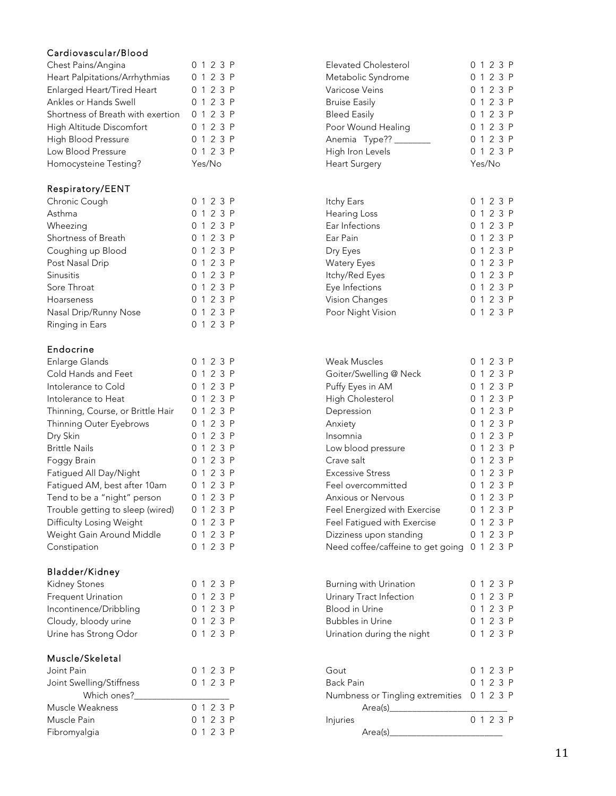## Cardiovascular/Blood

| Chronic Cough<br>0 1 2 3 P<br>Itchy Ears<br>0 1 2 3 P<br>Asthma<br>0 1 2 3 P<br>Hearing Loss<br>0 1 2 3 P<br>0 1 2 3 P<br>Wheezing<br>Ear Infections<br>0 1 2 3 P<br>Shortness of Breath<br>0 1 2 3 P<br>Ear Pain<br>0 1 2 3 P<br>Coughing up Blood<br>0 1 2 3 P<br>0 1 2 3 P<br>Dry Eyes<br>0 1 2 3 P<br>Post Nasal Drip<br>0 1 2 3 P<br><b>Watery Eyes</b><br>0 1 2 3 P<br>0 1 2 3 P<br>Sinusitis<br>Itchy/Red Eyes<br>0 1 2 3 P<br>Sore Throat<br>0 1 2 3 P<br>Eye Infections<br>0 1 2 3 P<br>0 1 2 3 P<br>Vision Changes<br>Hoarseness<br>0 1 2 3 P<br>0 1 2 3 P<br>Poor Night Vision<br>Nasal Drip/Runny Nose<br>0 1 2 3 P<br>Ringing in Ears<br>Endocrine<br>Enlarge Glands<br>Weak Muscles<br>0 1 2 3 P<br>0 1 2 3 P<br>Cold Hands and Feet<br>0 1 2 3 P<br>0 1 2 3 P<br>Goiter/Swelling @ Neck<br>Puffy Eyes in AM<br>0 1 2 3 P<br>Intolerance to Cold<br>0 1 2 3 P<br>0 1 2 3 P<br>0 1 2 3 P<br>High Cholesterol<br>Intolerance to Heat<br>0 1 2 3 P<br>0 1 2 3 P<br>Thinning, Course, or Brittle Hair<br>Depression<br>0 1 2 3 P<br>0 1 2 3 P<br>Thinning Outer Eyebrows<br>Anxiety<br>0 1 2 3 P<br>0 1 2 3 P<br>Dry Skin<br>Insomnia<br>0 1 2 3 P<br>0 1 2 3 P<br><b>Brittle Nails</b><br>Low blood pressure<br>0 1 2 3 P<br>0 1 2 3 P<br>Crave salt<br>Foggy Brain<br>0 1 2 3 P<br>0 1 2 3 P<br>Fatigued All Day/Night<br><b>Excessive Stress</b><br>Fatigued AM, best after 10am<br>0 1 2 3 P<br>Feel overcommitted<br>0 1 2 3 P<br>0 1 2 3 P<br>0 1 2 3 P<br>Tend to be a "night" person<br>Anxious or Nervous<br>Trouble getting to sleep (wired)<br>0 1 2 3 P<br>Feel Energized with Exercise<br>0 1 2 3 P<br>Difficulty Losing Weight<br>0 1 2 3 P<br>0 1 2 3 P<br>Feel Fatigued with Exercise<br>0 1 2 3 P<br>0 1 2 3 P<br>Weight Gain Around Middle<br>Dizziness upon standing<br>0 1 2 3 P<br>Need coffee/caffeine to get going<br>0 1 2 3 P<br>Constipation<br>Bladder/Kidney<br>Kidney Stones<br>0 1 2 3 P<br>Burning with Urination<br>0 1 2 3 P<br><b>Frequent Urination</b><br>0 1 2 3 P<br>Urinary Tract Infection<br>0 1 2 3 P<br><b>Blood in Urine</b><br>0 1 2 3 P<br>Incontinence/Dribbling<br>0 1 2 3 P<br>Cloudy, bloody urine<br>0 1 2 3 P<br><b>Bubbles in Urine</b><br>0 1 2 3 P<br>0 1 2 3 P<br>Urine has Strong Odor<br>0 1 2 3 P<br>Urination during the night<br>Muscle/Skeletal<br>Joint Pain<br>0 1 2 3 P<br>Gout<br>0 1 2 3 P<br>0 1 2 3 P<br>0 1 2 3 P<br>Joint Swelling/Stiffness<br><b>Back Pain</b><br>Which ones?<br>0 1 2 3 P<br>Numbness or Tingling extremities<br>Muscle Weakness<br>0 1 2 3 P<br>Area(s)<br>0 1 2 3 P<br>0 1 2 3 P<br>Muscle Pain<br>Injuries<br>0 1 2 3 P<br>Fibromyalgia<br>Area(s) | Chest Pains/Angina<br>Heart Palpitations/Arrhythmias<br>Enlarged Heart/Tired Heart<br>Ankles or Hands Swell<br>Shortness of Breath with exertion<br>High Altitude Discomfort<br>High Blood Pressure<br>Low Blood Pressure<br>Homocysteine Testing? | 0 1 2 3 P<br>0 1 2 3 P<br>0 1 2 3 P<br>0 1 2 3 P<br>0 1 2 3 P<br>0 1 2 3 P<br>0 1 2 3 P<br>0 1 2 3 P<br>Yes/No | Elevated Cholesterol<br>Metabolic Syndrome<br>Varicose Veins<br><b>Bruise Easily</b><br><b>Bleed Easily</b><br>Poor Wound Healing<br>Anemia Type?? ______<br>High Iron Levels<br><b>Heart Surgery</b> | 0 1 2 3 P<br>0 1 2 3 P<br>0 1 2 3 P<br>0 1 2 3 P<br>0 1 2 3 P<br>0 1 2 3 P<br>0 1 2 3 P<br>0 1 2 3 P<br>Yes/No |
|-----------------------------------------------------------------------------------------------------------------------------------------------------------------------------------------------------------------------------------------------------------------------------------------------------------------------------------------------------------------------------------------------------------------------------------------------------------------------------------------------------------------------------------------------------------------------------------------------------------------------------------------------------------------------------------------------------------------------------------------------------------------------------------------------------------------------------------------------------------------------------------------------------------------------------------------------------------------------------------------------------------------------------------------------------------------------------------------------------------------------------------------------------------------------------------------------------------------------------------------------------------------------------------------------------------------------------------------------------------------------------------------------------------------------------------------------------------------------------------------------------------------------------------------------------------------------------------------------------------------------------------------------------------------------------------------------------------------------------------------------------------------------------------------------------------------------------------------------------------------------------------------------------------------------------------------------------------------------------------------------------------------------------------------------------------------------------------------------------------------------------------------------------------------------------------------------------------------------------------------------------------------------------------------------------------------------------------------------------------------------------------------------------------------------------------------------------------------------------------------------------------------------------------------------------------------------------------------------------------------------------------------------------------|----------------------------------------------------------------------------------------------------------------------------------------------------------------------------------------------------------------------------------------------------|----------------------------------------------------------------------------------------------------------------|-------------------------------------------------------------------------------------------------------------------------------------------------------------------------------------------------------|----------------------------------------------------------------------------------------------------------------|
|                                                                                                                                                                                                                                                                                                                                                                                                                                                                                                                                                                                                                                                                                                                                                                                                                                                                                                                                                                                                                                                                                                                                                                                                                                                                                                                                                                                                                                                                                                                                                                                                                                                                                                                                                                                                                                                                                                                                                                                                                                                                                                                                                                                                                                                                                                                                                                                                                                                                                                                                                                                                                                                           | Respiratory/EENT                                                                                                                                                                                                                                   |                                                                                                                |                                                                                                                                                                                                       |                                                                                                                |
|                                                                                                                                                                                                                                                                                                                                                                                                                                                                                                                                                                                                                                                                                                                                                                                                                                                                                                                                                                                                                                                                                                                                                                                                                                                                                                                                                                                                                                                                                                                                                                                                                                                                                                                                                                                                                                                                                                                                                                                                                                                                                                                                                                                                                                                                                                                                                                                                                                                                                                                                                                                                                                                           |                                                                                                                                                                                                                                                    |                                                                                                                |                                                                                                                                                                                                       |                                                                                                                |
|                                                                                                                                                                                                                                                                                                                                                                                                                                                                                                                                                                                                                                                                                                                                                                                                                                                                                                                                                                                                                                                                                                                                                                                                                                                                                                                                                                                                                                                                                                                                                                                                                                                                                                                                                                                                                                                                                                                                                                                                                                                                                                                                                                                                                                                                                                                                                                                                                                                                                                                                                                                                                                                           |                                                                                                                                                                                                                                                    |                                                                                                                |                                                                                                                                                                                                       |                                                                                                                |
|                                                                                                                                                                                                                                                                                                                                                                                                                                                                                                                                                                                                                                                                                                                                                                                                                                                                                                                                                                                                                                                                                                                                                                                                                                                                                                                                                                                                                                                                                                                                                                                                                                                                                                                                                                                                                                                                                                                                                                                                                                                                                                                                                                                                                                                                                                                                                                                                                                                                                                                                                                                                                                                           |                                                                                                                                                                                                                                                    |                                                                                                                |                                                                                                                                                                                                       |                                                                                                                |
|                                                                                                                                                                                                                                                                                                                                                                                                                                                                                                                                                                                                                                                                                                                                                                                                                                                                                                                                                                                                                                                                                                                                                                                                                                                                                                                                                                                                                                                                                                                                                                                                                                                                                                                                                                                                                                                                                                                                                                                                                                                                                                                                                                                                                                                                                                                                                                                                                                                                                                                                                                                                                                                           |                                                                                                                                                                                                                                                    |                                                                                                                |                                                                                                                                                                                                       |                                                                                                                |
|                                                                                                                                                                                                                                                                                                                                                                                                                                                                                                                                                                                                                                                                                                                                                                                                                                                                                                                                                                                                                                                                                                                                                                                                                                                                                                                                                                                                                                                                                                                                                                                                                                                                                                                                                                                                                                                                                                                                                                                                                                                                                                                                                                                                                                                                                                                                                                                                                                                                                                                                                                                                                                                           |                                                                                                                                                                                                                                                    |                                                                                                                |                                                                                                                                                                                                       |                                                                                                                |
|                                                                                                                                                                                                                                                                                                                                                                                                                                                                                                                                                                                                                                                                                                                                                                                                                                                                                                                                                                                                                                                                                                                                                                                                                                                                                                                                                                                                                                                                                                                                                                                                                                                                                                                                                                                                                                                                                                                                                                                                                                                                                                                                                                                                                                                                                                                                                                                                                                                                                                                                                                                                                                                           |                                                                                                                                                                                                                                                    |                                                                                                                |                                                                                                                                                                                                       |                                                                                                                |
|                                                                                                                                                                                                                                                                                                                                                                                                                                                                                                                                                                                                                                                                                                                                                                                                                                                                                                                                                                                                                                                                                                                                                                                                                                                                                                                                                                                                                                                                                                                                                                                                                                                                                                                                                                                                                                                                                                                                                                                                                                                                                                                                                                                                                                                                                                                                                                                                                                                                                                                                                                                                                                                           |                                                                                                                                                                                                                                                    |                                                                                                                |                                                                                                                                                                                                       |                                                                                                                |
|                                                                                                                                                                                                                                                                                                                                                                                                                                                                                                                                                                                                                                                                                                                                                                                                                                                                                                                                                                                                                                                                                                                                                                                                                                                                                                                                                                                                                                                                                                                                                                                                                                                                                                                                                                                                                                                                                                                                                                                                                                                                                                                                                                                                                                                                                                                                                                                                                                                                                                                                                                                                                                                           |                                                                                                                                                                                                                                                    |                                                                                                                |                                                                                                                                                                                                       |                                                                                                                |
|                                                                                                                                                                                                                                                                                                                                                                                                                                                                                                                                                                                                                                                                                                                                                                                                                                                                                                                                                                                                                                                                                                                                                                                                                                                                                                                                                                                                                                                                                                                                                                                                                                                                                                                                                                                                                                                                                                                                                                                                                                                                                                                                                                                                                                                                                                                                                                                                                                                                                                                                                                                                                                                           |                                                                                                                                                                                                                                                    |                                                                                                                |                                                                                                                                                                                                       |                                                                                                                |
|                                                                                                                                                                                                                                                                                                                                                                                                                                                                                                                                                                                                                                                                                                                                                                                                                                                                                                                                                                                                                                                                                                                                                                                                                                                                                                                                                                                                                                                                                                                                                                                                                                                                                                                                                                                                                                                                                                                                                                                                                                                                                                                                                                                                                                                                                                                                                                                                                                                                                                                                                                                                                                                           |                                                                                                                                                                                                                                                    |                                                                                                                |                                                                                                                                                                                                       |                                                                                                                |
|                                                                                                                                                                                                                                                                                                                                                                                                                                                                                                                                                                                                                                                                                                                                                                                                                                                                                                                                                                                                                                                                                                                                                                                                                                                                                                                                                                                                                                                                                                                                                                                                                                                                                                                                                                                                                                                                                                                                                                                                                                                                                                                                                                                                                                                                                                                                                                                                                                                                                                                                                                                                                                                           |                                                                                                                                                                                                                                                    |                                                                                                                |                                                                                                                                                                                                       |                                                                                                                |
|                                                                                                                                                                                                                                                                                                                                                                                                                                                                                                                                                                                                                                                                                                                                                                                                                                                                                                                                                                                                                                                                                                                                                                                                                                                                                                                                                                                                                                                                                                                                                                                                                                                                                                                                                                                                                                                                                                                                                                                                                                                                                                                                                                                                                                                                                                                                                                                                                                                                                                                                                                                                                                                           |                                                                                                                                                                                                                                                    |                                                                                                                |                                                                                                                                                                                                       |                                                                                                                |
|                                                                                                                                                                                                                                                                                                                                                                                                                                                                                                                                                                                                                                                                                                                                                                                                                                                                                                                                                                                                                                                                                                                                                                                                                                                                                                                                                                                                                                                                                                                                                                                                                                                                                                                                                                                                                                                                                                                                                                                                                                                                                                                                                                                                                                                                                                                                                                                                                                                                                                                                                                                                                                                           |                                                                                                                                                                                                                                                    |                                                                                                                |                                                                                                                                                                                                       |                                                                                                                |
|                                                                                                                                                                                                                                                                                                                                                                                                                                                                                                                                                                                                                                                                                                                                                                                                                                                                                                                                                                                                                                                                                                                                                                                                                                                                                                                                                                                                                                                                                                                                                                                                                                                                                                                                                                                                                                                                                                                                                                                                                                                                                                                                                                                                                                                                                                                                                                                                                                                                                                                                                                                                                                                           |                                                                                                                                                                                                                                                    |                                                                                                                |                                                                                                                                                                                                       |                                                                                                                |
|                                                                                                                                                                                                                                                                                                                                                                                                                                                                                                                                                                                                                                                                                                                                                                                                                                                                                                                                                                                                                                                                                                                                                                                                                                                                                                                                                                                                                                                                                                                                                                                                                                                                                                                                                                                                                                                                                                                                                                                                                                                                                                                                                                                                                                                                                                                                                                                                                                                                                                                                                                                                                                                           |                                                                                                                                                                                                                                                    |                                                                                                                |                                                                                                                                                                                                       |                                                                                                                |
|                                                                                                                                                                                                                                                                                                                                                                                                                                                                                                                                                                                                                                                                                                                                                                                                                                                                                                                                                                                                                                                                                                                                                                                                                                                                                                                                                                                                                                                                                                                                                                                                                                                                                                                                                                                                                                                                                                                                                                                                                                                                                                                                                                                                                                                                                                                                                                                                                                                                                                                                                                                                                                                           |                                                                                                                                                                                                                                                    |                                                                                                                |                                                                                                                                                                                                       |                                                                                                                |
|                                                                                                                                                                                                                                                                                                                                                                                                                                                                                                                                                                                                                                                                                                                                                                                                                                                                                                                                                                                                                                                                                                                                                                                                                                                                                                                                                                                                                                                                                                                                                                                                                                                                                                                                                                                                                                                                                                                                                                                                                                                                                                                                                                                                                                                                                                                                                                                                                                                                                                                                                                                                                                                           |                                                                                                                                                                                                                                                    |                                                                                                                |                                                                                                                                                                                                       |                                                                                                                |
|                                                                                                                                                                                                                                                                                                                                                                                                                                                                                                                                                                                                                                                                                                                                                                                                                                                                                                                                                                                                                                                                                                                                                                                                                                                                                                                                                                                                                                                                                                                                                                                                                                                                                                                                                                                                                                                                                                                                                                                                                                                                                                                                                                                                                                                                                                                                                                                                                                                                                                                                                                                                                                                           |                                                                                                                                                                                                                                                    |                                                                                                                |                                                                                                                                                                                                       |                                                                                                                |
|                                                                                                                                                                                                                                                                                                                                                                                                                                                                                                                                                                                                                                                                                                                                                                                                                                                                                                                                                                                                                                                                                                                                                                                                                                                                                                                                                                                                                                                                                                                                                                                                                                                                                                                                                                                                                                                                                                                                                                                                                                                                                                                                                                                                                                                                                                                                                                                                                                                                                                                                                                                                                                                           |                                                                                                                                                                                                                                                    |                                                                                                                |                                                                                                                                                                                                       |                                                                                                                |
|                                                                                                                                                                                                                                                                                                                                                                                                                                                                                                                                                                                                                                                                                                                                                                                                                                                                                                                                                                                                                                                                                                                                                                                                                                                                                                                                                                                                                                                                                                                                                                                                                                                                                                                                                                                                                                                                                                                                                                                                                                                                                                                                                                                                                                                                                                                                                                                                                                                                                                                                                                                                                                                           |                                                                                                                                                                                                                                                    |                                                                                                                |                                                                                                                                                                                                       |                                                                                                                |
|                                                                                                                                                                                                                                                                                                                                                                                                                                                                                                                                                                                                                                                                                                                                                                                                                                                                                                                                                                                                                                                                                                                                                                                                                                                                                                                                                                                                                                                                                                                                                                                                                                                                                                                                                                                                                                                                                                                                                                                                                                                                                                                                                                                                                                                                                                                                                                                                                                                                                                                                                                                                                                                           |                                                                                                                                                                                                                                                    |                                                                                                                |                                                                                                                                                                                                       |                                                                                                                |
|                                                                                                                                                                                                                                                                                                                                                                                                                                                                                                                                                                                                                                                                                                                                                                                                                                                                                                                                                                                                                                                                                                                                                                                                                                                                                                                                                                                                                                                                                                                                                                                                                                                                                                                                                                                                                                                                                                                                                                                                                                                                                                                                                                                                                                                                                                                                                                                                                                                                                                                                                                                                                                                           |                                                                                                                                                                                                                                                    |                                                                                                                |                                                                                                                                                                                                       |                                                                                                                |
|                                                                                                                                                                                                                                                                                                                                                                                                                                                                                                                                                                                                                                                                                                                                                                                                                                                                                                                                                                                                                                                                                                                                                                                                                                                                                                                                                                                                                                                                                                                                                                                                                                                                                                                                                                                                                                                                                                                                                                                                                                                                                                                                                                                                                                                                                                                                                                                                                                                                                                                                                                                                                                                           |                                                                                                                                                                                                                                                    |                                                                                                                |                                                                                                                                                                                                       |                                                                                                                |
|                                                                                                                                                                                                                                                                                                                                                                                                                                                                                                                                                                                                                                                                                                                                                                                                                                                                                                                                                                                                                                                                                                                                                                                                                                                                                                                                                                                                                                                                                                                                                                                                                                                                                                                                                                                                                                                                                                                                                                                                                                                                                                                                                                                                                                                                                                                                                                                                                                                                                                                                                                                                                                                           |                                                                                                                                                                                                                                                    |                                                                                                                |                                                                                                                                                                                                       |                                                                                                                |
|                                                                                                                                                                                                                                                                                                                                                                                                                                                                                                                                                                                                                                                                                                                                                                                                                                                                                                                                                                                                                                                                                                                                                                                                                                                                                                                                                                                                                                                                                                                                                                                                                                                                                                                                                                                                                                                                                                                                                                                                                                                                                                                                                                                                                                                                                                                                                                                                                                                                                                                                                                                                                                                           |                                                                                                                                                                                                                                                    |                                                                                                                |                                                                                                                                                                                                       |                                                                                                                |
|                                                                                                                                                                                                                                                                                                                                                                                                                                                                                                                                                                                                                                                                                                                                                                                                                                                                                                                                                                                                                                                                                                                                                                                                                                                                                                                                                                                                                                                                                                                                                                                                                                                                                                                                                                                                                                                                                                                                                                                                                                                                                                                                                                                                                                                                                                                                                                                                                                                                                                                                                                                                                                                           |                                                                                                                                                                                                                                                    |                                                                                                                |                                                                                                                                                                                                       |                                                                                                                |
|                                                                                                                                                                                                                                                                                                                                                                                                                                                                                                                                                                                                                                                                                                                                                                                                                                                                                                                                                                                                                                                                                                                                                                                                                                                                                                                                                                                                                                                                                                                                                                                                                                                                                                                                                                                                                                                                                                                                                                                                                                                                                                                                                                                                                                                                                                                                                                                                                                                                                                                                                                                                                                                           |                                                                                                                                                                                                                                                    |                                                                                                                |                                                                                                                                                                                                       |                                                                                                                |
|                                                                                                                                                                                                                                                                                                                                                                                                                                                                                                                                                                                                                                                                                                                                                                                                                                                                                                                                                                                                                                                                                                                                                                                                                                                                                                                                                                                                                                                                                                                                                                                                                                                                                                                                                                                                                                                                                                                                                                                                                                                                                                                                                                                                                                                                                                                                                                                                                                                                                                                                                                                                                                                           |                                                                                                                                                                                                                                                    |                                                                                                                |                                                                                                                                                                                                       |                                                                                                                |
|                                                                                                                                                                                                                                                                                                                                                                                                                                                                                                                                                                                                                                                                                                                                                                                                                                                                                                                                                                                                                                                                                                                                                                                                                                                                                                                                                                                                                                                                                                                                                                                                                                                                                                                                                                                                                                                                                                                                                                                                                                                                                                                                                                                                                                                                                                                                                                                                                                                                                                                                                                                                                                                           |                                                                                                                                                                                                                                                    |                                                                                                                |                                                                                                                                                                                                       |                                                                                                                |
|                                                                                                                                                                                                                                                                                                                                                                                                                                                                                                                                                                                                                                                                                                                                                                                                                                                                                                                                                                                                                                                                                                                                                                                                                                                                                                                                                                                                                                                                                                                                                                                                                                                                                                                                                                                                                                                                                                                                                                                                                                                                                                                                                                                                                                                                                                                                                                                                                                                                                                                                                                                                                                                           |                                                                                                                                                                                                                                                    |                                                                                                                |                                                                                                                                                                                                       |                                                                                                                |
|                                                                                                                                                                                                                                                                                                                                                                                                                                                                                                                                                                                                                                                                                                                                                                                                                                                                                                                                                                                                                                                                                                                                                                                                                                                                                                                                                                                                                                                                                                                                                                                                                                                                                                                                                                                                                                                                                                                                                                                                                                                                                                                                                                                                                                                                                                                                                                                                                                                                                                                                                                                                                                                           |                                                                                                                                                                                                                                                    |                                                                                                                |                                                                                                                                                                                                       |                                                                                                                |
|                                                                                                                                                                                                                                                                                                                                                                                                                                                                                                                                                                                                                                                                                                                                                                                                                                                                                                                                                                                                                                                                                                                                                                                                                                                                                                                                                                                                                                                                                                                                                                                                                                                                                                                                                                                                                                                                                                                                                                                                                                                                                                                                                                                                                                                                                                                                                                                                                                                                                                                                                                                                                                                           |                                                                                                                                                                                                                                                    |                                                                                                                |                                                                                                                                                                                                       |                                                                                                                |
|                                                                                                                                                                                                                                                                                                                                                                                                                                                                                                                                                                                                                                                                                                                                                                                                                                                                                                                                                                                                                                                                                                                                                                                                                                                                                                                                                                                                                                                                                                                                                                                                                                                                                                                                                                                                                                                                                                                                                                                                                                                                                                                                                                                                                                                                                                                                                                                                                                                                                                                                                                                                                                                           |                                                                                                                                                                                                                                                    |                                                                                                                |                                                                                                                                                                                                       |                                                                                                                |
|                                                                                                                                                                                                                                                                                                                                                                                                                                                                                                                                                                                                                                                                                                                                                                                                                                                                                                                                                                                                                                                                                                                                                                                                                                                                                                                                                                                                                                                                                                                                                                                                                                                                                                                                                                                                                                                                                                                                                                                                                                                                                                                                                                                                                                                                                                                                                                                                                                                                                                                                                                                                                                                           |                                                                                                                                                                                                                                                    |                                                                                                                |                                                                                                                                                                                                       |                                                                                                                |
|                                                                                                                                                                                                                                                                                                                                                                                                                                                                                                                                                                                                                                                                                                                                                                                                                                                                                                                                                                                                                                                                                                                                                                                                                                                                                                                                                                                                                                                                                                                                                                                                                                                                                                                                                                                                                                                                                                                                                                                                                                                                                                                                                                                                                                                                                                                                                                                                                                                                                                                                                                                                                                                           |                                                                                                                                                                                                                                                    |                                                                                                                |                                                                                                                                                                                                       |                                                                                                                |
|                                                                                                                                                                                                                                                                                                                                                                                                                                                                                                                                                                                                                                                                                                                                                                                                                                                                                                                                                                                                                                                                                                                                                                                                                                                                                                                                                                                                                                                                                                                                                                                                                                                                                                                                                                                                                                                                                                                                                                                                                                                                                                                                                                                                                                                                                                                                                                                                                                                                                                                                                                                                                                                           |                                                                                                                                                                                                                                                    |                                                                                                                |                                                                                                                                                                                                       |                                                                                                                |
|                                                                                                                                                                                                                                                                                                                                                                                                                                                                                                                                                                                                                                                                                                                                                                                                                                                                                                                                                                                                                                                                                                                                                                                                                                                                                                                                                                                                                                                                                                                                                                                                                                                                                                                                                                                                                                                                                                                                                                                                                                                                                                                                                                                                                                                                                                                                                                                                                                                                                                                                                                                                                                                           |                                                                                                                                                                                                                                                    |                                                                                                                |                                                                                                                                                                                                       |                                                                                                                |
|                                                                                                                                                                                                                                                                                                                                                                                                                                                                                                                                                                                                                                                                                                                                                                                                                                                                                                                                                                                                                                                                                                                                                                                                                                                                                                                                                                                                                                                                                                                                                                                                                                                                                                                                                                                                                                                                                                                                                                                                                                                                                                                                                                                                                                                                                                                                                                                                                                                                                                                                                                                                                                                           |                                                                                                                                                                                                                                                    |                                                                                                                |                                                                                                                                                                                                       |                                                                                                                |
|                                                                                                                                                                                                                                                                                                                                                                                                                                                                                                                                                                                                                                                                                                                                                                                                                                                                                                                                                                                                                                                                                                                                                                                                                                                                                                                                                                                                                                                                                                                                                                                                                                                                                                                                                                                                                                                                                                                                                                                                                                                                                                                                                                                                                                                                                                                                                                                                                                                                                                                                                                                                                                                           |                                                                                                                                                                                                                                                    |                                                                                                                |                                                                                                                                                                                                       |                                                                                                                |
|                                                                                                                                                                                                                                                                                                                                                                                                                                                                                                                                                                                                                                                                                                                                                                                                                                                                                                                                                                                                                                                                                                                                                                                                                                                                                                                                                                                                                                                                                                                                                                                                                                                                                                                                                                                                                                                                                                                                                                                                                                                                                                                                                                                                                                                                                                                                                                                                                                                                                                                                                                                                                                                           |                                                                                                                                                                                                                                                    |                                                                                                                |                                                                                                                                                                                                       |                                                                                                                |
|                                                                                                                                                                                                                                                                                                                                                                                                                                                                                                                                                                                                                                                                                                                                                                                                                                                                                                                                                                                                                                                                                                                                                                                                                                                                                                                                                                                                                                                                                                                                                                                                                                                                                                                                                                                                                                                                                                                                                                                                                                                                                                                                                                                                                                                                                                                                                                                                                                                                                                                                                                                                                                                           |                                                                                                                                                                                                                                                    |                                                                                                                |                                                                                                                                                                                                       |                                                                                                                |